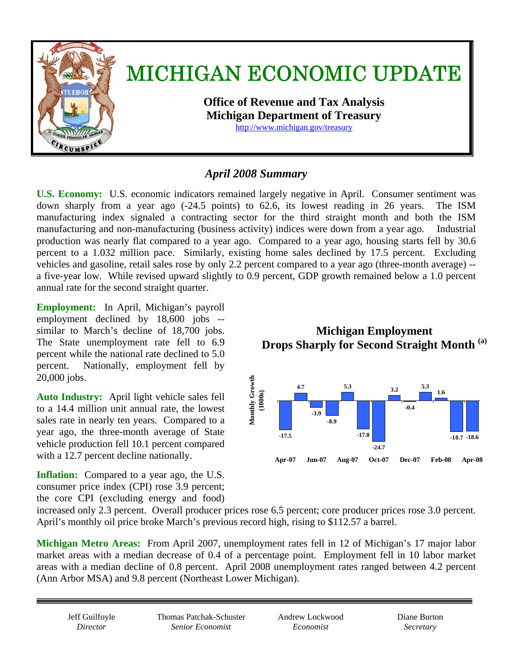

# *April 2008 Summary*

**U.S. Economy:** U.S. economic indicators remained largely negative in April. Consumer sentiment was down sharply from a year ago (-24.5 points) to 62.6, its lowest reading in 26 years. The ISM manufacturing index signaled a contracting sector for the third straight month and both the ISM manufacturing and non-manufacturing (business activity) indices were down from a year ago. Industrial production was nearly flat compared to a year ago. Compared to a year ago, housing starts fell by 30.6 percent to a 1.032 million pace. Similarly, existing home sales declined by 17.5 percent. Excluding vehicles and gasoline, retail sales rose by only 2.2 percent compared to a year ago (three-month average) - a five-year low. While revised upward slightly to 0.9 percent, GDP growth remained below a 1.0 percent annual rate for the second straight quarter.

**Employment:** In April, Michigan's payroll employment declined by 18,600 jobs - similar to March's decline of 18,700 jobs. The State unemployment rate fell to 6.9 percent while the national rate declined to 5.0 percent. Nationally, employment fell by 20,000 jobs.

**Auto Industry:** April light vehicle sales fell to a 14.4 million unit annual rate, the lowest sales rate in nearly ten years. Compared to a year ago, the three-month average of State vehicle production fell 10.1 percent compared with a 12.7 percent decline nationally.

**Inflation:** Compared to a year ago, the U.S. consumer price index (CPI) rose 3.9 percent; the core CPI (excluding energy and food)

**Michigan Employment Drops Sharply for Second Straight Month (a)** 



increased only 2.3 percent. Overall producer prices rose 6.5 percent; core producer prices rose 3.0 percent. April's monthly oil price broke March's previous record high, rising to \$112.57 a barrel.

**Michigan Metro Areas:** From April 2007, unemployment rates fell in 12 of Michigan's 17 major labor market areas with a median decrease of 0.4 of a percentage point.Employment fell in 10 labor market areas with a median decline of 0.8 percent.April 2008 unemployment rates ranged between 4.2 percent (Ann Arbor MSA) and 9.8 percent (Northeast Lower Michigan).

Jeff Guilfoyle *Director* 

Thomas Patchak-Schuster *Senior Economist* 

Andrew Lockwood *Economist* 

Diane Burton *Secretary*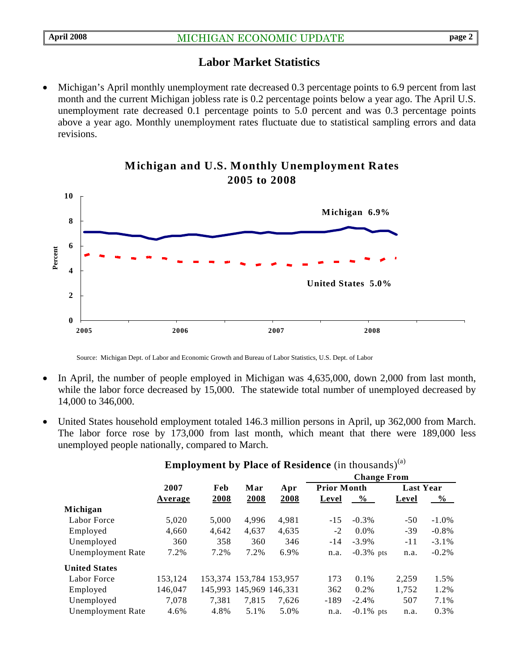# **Labor Market Statistics**

• Michigan's April monthly unemployment rate decreased 0.3 percentage points to 6.9 percent from last month and the current Michigan jobless rate is 0.2 percentage points below a year ago. The April U.S. unemployment rate decreased 0.1 percentage points to 5.0 percent and was 0.3 percentage points above a year ago. Monthly unemployment rates fluctuate due to statistical sampling errors and data revisions.



## **Michigan and U.S. Monthly Unemployment Rates 2005 to 2008**

Source: Michigan Dept. of Labor and Economic Growth and Bureau of Labor Statistics, U.S. Dept. of Labor

- In April, the number of people employed in Michigan was 4,635,000, down 2,000 from last month, while the labor force decreased by 15,000. The statewide total number of unemployed decreased by 14,000 to 346,000.
- United States household employment totaled 146.3 million persons in April, up 362,000 from March. The labor force rose by 173,000 from last month, which meant that there were 189,000 less unemployed people nationally, compared to March.

|                          |         |       |                         | Apr   | <b>Change From</b> |              |                  |               |
|--------------------------|---------|-------|-------------------------|-------|--------------------|--------------|------------------|---------------|
|                          | 2007    | Feb   | Mar                     |       | <b>Prior Month</b> |              | <b>Last Year</b> |               |
|                          | Average | 2008  | 2008                    | 2008  | Level              | $\%$         | Level            | $\frac{6}{9}$ |
| Michigan                 |         |       |                         |       |                    |              |                  |               |
| Labor Force              | 5,020   | 5.000 | 4.996                   | 4,981 | $-15$              | $-0.3\%$     | $-50$            | $-1.0\%$      |
| Employed                 | 4,660   | 4,642 | 4,637                   | 4,635 | $-2$               | $0.0\%$      | $-39$            | $-0.8\%$      |
| Unemployed               | 360     | 358   | 360                     | 346   | $-14$              | $-3.9\%$     | $-11$            | $-3.1\%$      |
| <b>Unemployment Rate</b> | 7.2%    | 7.2%  | 7.2%                    | 6.9%  | n.a.               | $-0.3\%$ pts | n.a.             | $-0.2\%$      |
| <b>United States</b>     |         |       |                         |       |                    |              |                  |               |
| Labor Force              | 153.124 |       | 153,374 153,784 153,957 |       | 173                | $0.1\%$      | 2.259            | 1.5%          |
| Employed                 | 146,047 |       | 145,993 145,969 146,331 |       | 362                | 0.2%         | 1,752            | 1.2%          |
| Unemployed               | 7.078   | 7.381 | 7.815                   | 7.626 | $-189$             | $-2.4%$      | 507              | 7.1%          |
| <b>Unemployment Rate</b> | 4.6%    | 4.8%  | 5.1%                    | 5.0%  | n.a.               | $-0.1\%$ pts | n.a.             | 0.3%          |
|                          |         |       |                         |       |                    |              |                  |               |

# **Employment by Place of Residence** (in thousands)<sup>(a)</sup>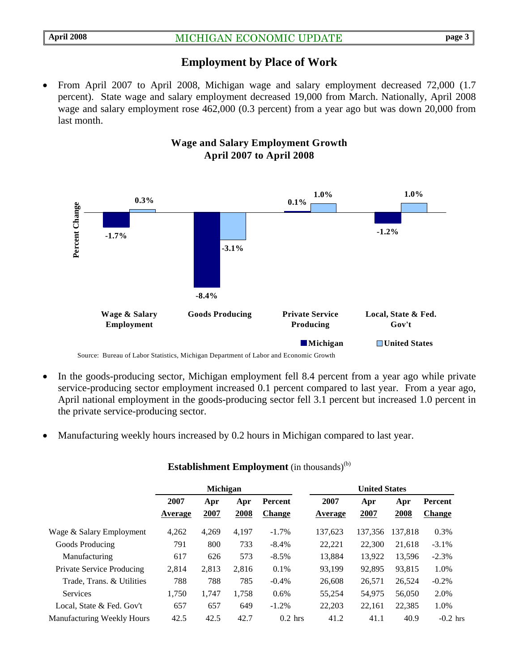## **Employment by Place of Work**

• From April 2007 to April 2008, Michigan wage and salary employment decreased 72,000 (1.7 percent).State wage and salary employment decreased 19,000 from March. Nationally, April 2008 wage and salary employment rose 462,000 (0.3 percent) from a year ago but was down 20,000 from last month.



## **Wage and Salary Employment Growth April 2007 to April 2008**

- In the goods-producing sector, Michigan employment fell 8.4 percent from a year ago while private service-producing sector employment increased 0.1 percent compared to last year. From a year ago, April national employment in the goods-producing sector fell 3.1 percent but increased 1.0 percent in the private service-producing sector.
- Manufacturing weekly hours increased by 0.2 hours in Michigan compared to last year.

|                                  | Michigan        |             |             |                                 | <b>United States</b> |             |             |                          |
|----------------------------------|-----------------|-------------|-------------|---------------------------------|----------------------|-------------|-------------|--------------------------|
|                                  | 2007<br>Average | Apr<br>2007 | Apr<br>2008 | <b>Percent</b><br><b>Change</b> | 2007<br>Average      | Apr<br>2007 | Apr<br>2008 | Percent<br><b>Change</b> |
| Wage & Salary Employment         | 4,262           | 4,269       | 4,197       | $-1.7\%$                        | 137,623              | 137.356     | 137.818     | 0.3%                     |
| Goods Producing                  | 791             | 800         | 733         | $-8.4\%$                        | 22,221               | 22,300      | 21,618      | $-3.1\%$                 |
| Manufacturing                    | 617             | 626         | 573         | $-8.5%$                         | 13.884               | 13,922      | 13,596      | $-2.3%$                  |
| <b>Private Service Producing</b> | 2.814           | 2,813       | 2.816       | 0.1%                            | 93.199               | 92.895      | 93.815      | 1.0%                     |
| Trade, Trans. & Utilities        | 788             | 788         | 785         | $-0.4%$                         | 26,608               | 26,571      | 26,524      | $-0.2%$                  |
| <b>Services</b>                  | 1,750           | 1,747       | 1,758       | 0.6%                            | 55,254               | 54,975      | 56,050      | 2.0%                     |
| Local, State & Fed. Gov't        | 657             | 657         | 649         | $-1.2\%$                        | 22,203               | 22,161      | 22,385      | 1.0%                     |
| Manufacturing Weekly Hours       | 42.5            | 42.5        | 42.7        | $0.2$ hrs                       | 41.2                 | 41.1        | 40.9        | $-0.2$ hrs               |

#### **Establishment Employment** (in thousands)<sup>(b)</sup>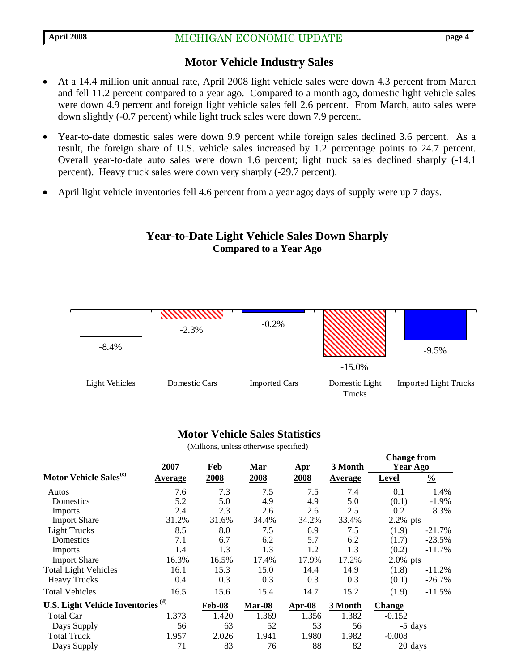### **Motor Vehicle Industry Sales**

- At a 14.4 million unit annual rate, April 2008 light vehicle sales were down 4.3 percent from March and fell 11.2 percent compared to a year ago. Compared to a month ago, domestic light vehicle sales were down 4.9 percent and foreign light vehicle sales fell 2.6 percent. From March, auto sales were down slightly (-0.7 percent) while light truck sales were down 7.9 percent.
- Year-to-date domestic sales were down 9.9 percent while foreign sales declined 3.6 percent. As a result, the foreign share of U.S. vehicle sales increased by 1.2 percentage points to 24.7 percent. Overall year-to-date auto sales were down 1.6 percent; light truck sales declined sharply (-14.1 percent). Heavy truck sales were down very sharply (-29.7 percent).
- April light vehicle inventories fell 4.6 percent from a year ago; days of supply were up 7 days.

#### **Year-to-Date Light Vehicle Sales Down Sharply Compared to a Year Ago**



#### **Motor Vehicle Sales Statistics**

(Millions, unless otherwise specified)

|                                               | 2007           | Feb           | Mar    | Apr      | 3 Month |               | <b>Change from</b><br>Year Ago |
|-----------------------------------------------|----------------|---------------|--------|----------|---------|---------------|--------------------------------|
| Motor Vehicle Sales <sup>(c)</sup>            | <b>Average</b> | 2008          | 2008   | 2008     | Average | <b>Level</b>  | $\frac{0}{0}$                  |
| Autos                                         | 7.6            | 7.3           | 7.5    | 7.5      | 7.4     | 0.1           | 1.4%                           |
| Domestics                                     | 5.2            | 5.0           | 4.9    | 4.9      | 5.0     | (0.1)         | $-1.9\%$                       |
| <b>Imports</b>                                | 2.4            | 2.3           | 2.6    | 2.6      | 2.5     | 0.2           | 8.3%                           |
| <b>Import Share</b>                           | 31.2%          | 31.6%         | 34.4%  | 34.2%    | 33.4%   | 2.2% pts      |                                |
| <b>Light Trucks</b>                           | 8.5            | 8.0           | 7.5    | 6.9      | 7.5     | (1.9)         | $-21.7%$                       |
| Domestics                                     | 7.1            | 6.7           | 6.2    | 5.7      | 6.2     | (1.7)         | $-23.5%$                       |
| <b>Imports</b>                                | 1.4            | 1.3           | 1.3    | 1.2      | 1.3     | (0.2)         | $-11.7%$                       |
| <b>Import Share</b>                           | 16.3%          | 16.5%         | 17.4%  | 17.9%    | 17.2%   | $2.0\%$ pts   |                                |
| <b>Total Light Vehicles</b>                   | 16.1           | 15.3          | 15.0   | 14.4     | 14.9    | (1.8)         | $-11.2%$                       |
| <b>Heavy Trucks</b>                           | 0.4            | 0.3           | 0.3    | 0.3      | 0.3     | (0.1)         | $-26.7%$                       |
| <b>Total Vehicles</b>                         | 16.5           | 15.6          | 15.4   | 14.7     | 15.2    | (1.9)         | $-11.5%$                       |
| U.S. Light Vehicle Inventories <sup>(d)</sup> |                | <b>Feb-08</b> | Mar-08 | $Apr-08$ | 3 Month | <b>Change</b> |                                |
| Total Car                                     | 1.373          | 1.420         | 1.369  | 1.356    | 1.382   | $-0.152$      |                                |
| Days Supply                                   | 56             | 63            | 52     | 53       | 56      |               | -5 days                        |
| <b>Total Truck</b>                            | 1.957          | 2.026         | 1.941  | 1.980    | 1.982   | $-0.008$      |                                |
| Days Supply                                   | 71             | 83            | 76     | 88       | 82      |               | 20 days                        |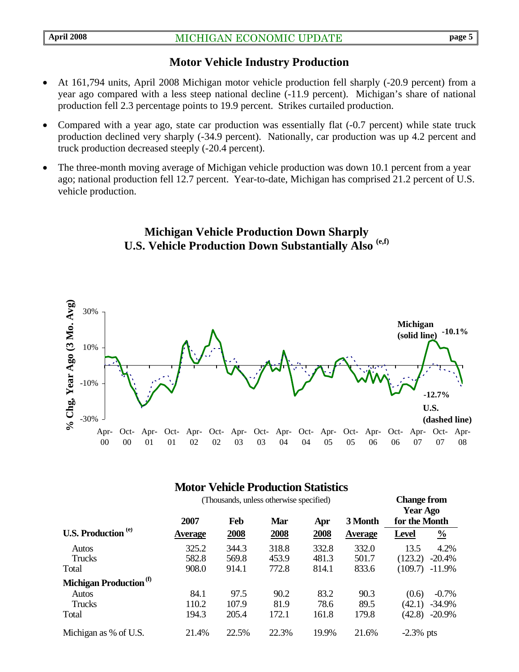## **Motor Vehicle Industry Production**

- At 161,794 units, April 2008 Michigan motor vehicle production fell sharply (-20.9 percent) from a year ago compared with a less steep national decline (-11.9 percent). Michigan's share of national production fell 2.3 percentage points to 19.9 percent. Strikes curtailed production.
- Compared with a year ago, state car production was essentially flat (-0.7 percent) while state truck production declined very sharply (-34.9 percent). Nationally, car production was up 4.2 percent and truck production decreased steeply (-20.4 percent).
- The three-month moving average of Michigan vehicle production was down 10.1 percent from a year ago; national production fell 12.7 percent. Year-to-date, Michigan has comprised 21.2 percent of U.S. vehicle production.

## **Michigan Vehicle Production Down Sharply U.S. Vehicle Production Down Substantially Also (e,f)**



## **Motor Vehicle Production Statistics**

|                                    | (Thousands, unless otherwise specified) | <b>Change from</b><br><b>Year Ago</b> |            |       |                |               |               |
|------------------------------------|-----------------------------------------|---------------------------------------|------------|-------|----------------|---------------|---------------|
|                                    | 2007                                    | Feb                                   | <b>Mar</b> | Apr   | 3 Month        | for the Month |               |
| U.S. Production <sup>(e)</sup>     | <b>Average</b>                          | 2008                                  | 2008       | 2008  | <b>Average</b> | <b>Level</b>  | $\frac{0}{0}$ |
| <b>Autos</b>                       | 325.2                                   | 344.3                                 | 318.8      | 332.8 | 332.0          | 13.5          | 4.2%          |
| <b>Trucks</b>                      | 582.8                                   | 569.8                                 | 453.9      | 481.3 | 501.7          | (123.2)       | $-20.4%$      |
| Total                              | 908.0                                   | 914.1                                 | 772.8      | 814.1 | 833.6          | (109.7)       | $-11.9%$      |
| Michigan Production <sup>(f)</sup> |                                         |                                       |            |       |                |               |               |
| <b>Autos</b>                       | 84.1                                    | 97.5                                  | 90.2       | 83.2  | 90.3           | (0.6)         | $-0.7\%$      |
| Trucks                             | 110.2                                   | 107.9                                 | 81.9       | 78.6  | 89.5           | (42.1)        | $-34.9%$      |
| Total                              | 194.3                                   | 205.4                                 | 172.1      | 161.8 | 179.8          | (42.8)        | $-20.9%$      |
| Michigan as % of U.S.              | 21.4%                                   | 22.5%                                 | 22.3%      | 19.9% | 21.6%          | $-2.3\%$ pts  |               |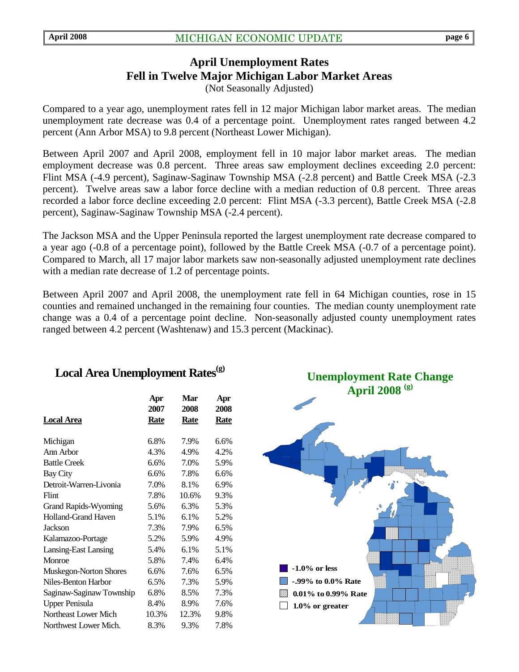## **April Unemployment Rates Fell in Twelve Major Michigan Labor Market Areas**  (Not Seasonally Adjusted)

Compared to a year ago, unemployment rates fell in 12 major Michigan labor market areas. The median unemployment rate decrease was 0.4 of a percentage point. Unemployment rates ranged between 4.2 percent (Ann Arbor MSA) to 9.8 percent (Northeast Lower Michigan).

Between April 2007 and April 2008, employment fell in 10 major labor market areas. The median employment decrease was 0.8 percent. Three areas saw employment declines exceeding 2.0 percent: Flint MSA (-4.9 percent), Saginaw-Saginaw Township MSA (-2.8 percent) and Battle Creek MSA (-2.3 percent). Twelve areas saw a labor force decline with a median reduction of 0.8 percent. Three areas recorded a labor force decline exceeding 2.0 percent: Flint MSA (-3.3 percent), Battle Creek MSA (-2.8 percent), Saginaw-Saginaw Township MSA (-2.4 percent).

The Jackson MSA and the Upper Peninsula reported the largest unemployment rate decrease compared to a year ago (-0.8 of a percentage point), followed by the Battle Creek MSA (-0.7 of a percentage point). Compared to March, all 17 major labor markets saw non-seasonally adjusted unemployment rate declines with a median rate decrease of 1.2 of percentage points.

Between April 2007 and April 2008, the unemployment rate fell in 64 Michigan counties, rose in 15 counties and remained unchanged in the remaining four counties. The median county unemployment rate change was a 0.4 of a percentage point decline. Non-seasonally adjusted county unemployment rates ranged between 4.2 percent (Washtenaw) and 15.3 percent (Mackinac).

#### **Apr Mar Apr 2007 2008 2008 Local Area Rate Rate Rate** Michigan 6.8% 7.9% 6.6% Ann Arbor 4.3% 4.9% 4.2% Battle Creek 6.6% 7.0% 5.9% Bay City 6.6% 7.8% 6.6% Detroit-Warren-Livonia 7.0% 8.1% 6.9% Flint 7.8% 10.6% 9.3% Grand Rapids-Wyoming 5.6% 6.3% 5.3% Holland-Grand Haven 5.1% 6.1% 5.2% Jackson 7.3% 7.9% 6.5% Kalamazoo-Portage 5.2% 5.9% 4.9% Lansing-East Lansing 5.4% 6.1% 5.1% Monroe 5.8% 7.4% 6.4% Muskegon-Norton Shores 6.6% 7.6% 6.5% Niles-Benton Harbor 6.5% 7.3% 5.9% Saginaw-Saginaw Township 6.8% 8.5% 7.3% Upper Penisula 8.4% 8.9% 7.6% Northeast Lower Mich 10.3% 12.3% 9.8% Northwest Lower Mich. 8.3% 9.3% 7.8%



# Local Area Unemployment Rates<sup>(g)</sup>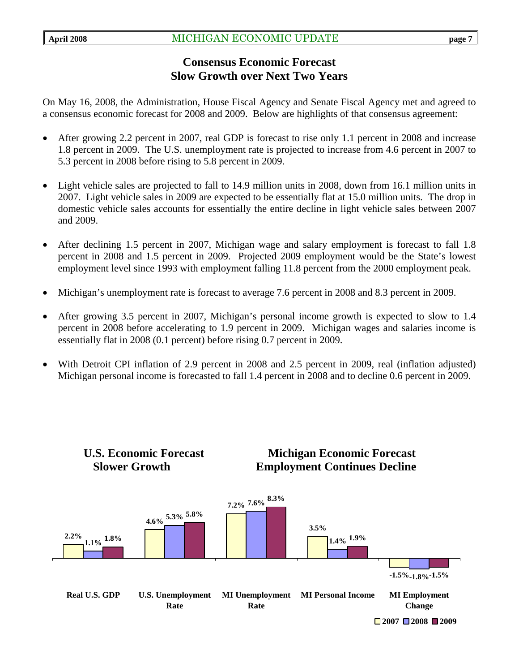# **Consensus Economic Forecast Slow Growth over Next Two Years**

On May 16, 2008, the Administration, House Fiscal Agency and Senate Fiscal Agency met and agreed to a consensus economic forecast for 2008 and 2009. Below are highlights of that consensus agreement:

- After growing 2.2 percent in 2007, real GDP is forecast to rise only 1.1 percent in 2008 and increase 1.8 percent in 2009. The U.S. unemployment rate is projected to increase from 4.6 percent in 2007 to 5.3 percent in 2008 before rising to 5.8 percent in 2009.
- Light vehicle sales are projected to fall to 14.9 million units in 2008, down from 16.1 million units in 2007. Light vehicle sales in 2009 are expected to be essentially flat at 15.0 million units. The drop in domestic vehicle sales accounts for essentially the entire decline in light vehicle sales between 2007 and 2009.
- After declining 1.5 percent in 2007, Michigan wage and salary employment is forecast to fall 1.8 percent in 2008 and 1.5 percent in 2009. Projected 2009 employment would be the State's lowest employment level since 1993 with employment falling 11.8 percent from the 2000 employment peak.
- Michigan's unemployment rate is forecast to average 7.6 percent in 2008 and 8.3 percent in 2009.
- After growing 3.5 percent in 2007, Michigan's personal income growth is expected to slow to 1.4 percent in 2008 before accelerating to 1.9 percent in 2009. Michigan wages and salaries income is essentially flat in 2008 (0.1 percent) before rising 0.7 percent in 2009.
- With Detroit CPI inflation of 2.9 percent in 2008 and 2.5 percent in 2009, real (inflation adjusted) Michigan personal income is forecasted to fall 1.4 percent in 2008 and to decline 0.6 percent in 2009.

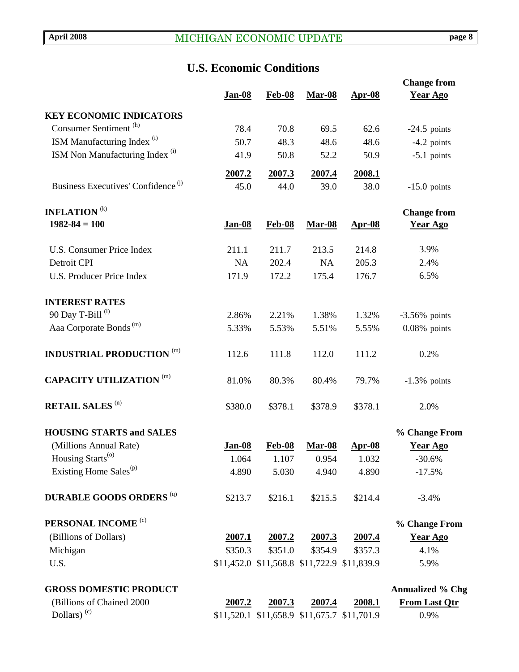# **U.S. Economic Conditions**

|                                                            |               |               |               |                                             | <b>Change from</b>           |
|------------------------------------------------------------|---------------|---------------|---------------|---------------------------------------------|------------------------------|
|                                                            | <b>Jan-08</b> | Feb-08        | <b>Mar-08</b> | <u>Apr-08</u>                               | <b>Year Ago</b>              |
| <b>KEY ECONOMIC INDICATORS</b>                             |               |               |               |                                             |                              |
| Consumer Sentiment <sup>(h)</sup>                          | 78.4          | 70.8          | 69.5          | 62.6                                        | $-24.5$ points               |
| ISM Manufacturing Index <sup>(i)</sup>                     | 50.7          | 48.3          | 48.6          | 48.6                                        | $-4.2$ points                |
| ISM Non Manufacturing Index <sup>(i)</sup>                 | 41.9          | 50.8          | 52.2          | 50.9                                        | $-5.1$ points                |
|                                                            |               |               |               |                                             |                              |
|                                                            | 2007.2        | 2007.3        | 2007.4        | 2008.1                                      |                              |
| Business Executives' Confidence <sup>(j)</sup>             | 45.0          | 44.0          | 39.0          | 38.0                                        | $-15.0$ points               |
| <b>INFLATION</b> <sup>(k)</sup>                            |               |               |               |                                             | <b>Change from</b>           |
| $1982 - 84 = 100$                                          | <b>Jan-08</b> | <b>Feb-08</b> | <b>Mar-08</b> | <u>Apr-08</u>                               | <b>Year Ago</b>              |
|                                                            |               |               |               |                                             |                              |
| <b>U.S. Consumer Price Index</b>                           | 211.1         | 211.7         | 213.5         | 214.8                                       | 3.9%                         |
| Detroit CPI                                                | <b>NA</b>     | 202.4         | <b>NA</b>     | 205.3                                       | 2.4%                         |
| <b>U.S. Producer Price Index</b>                           | 171.9         | 172.2         | 175.4         | 176.7                                       | 6.5%                         |
|                                                            |               |               |               |                                             |                              |
| <b>INTEREST RATES</b>                                      |               |               |               |                                             |                              |
| 90 Day T-Bill <sup>(l)</sup>                               | 2.86%         | 2.21%         | 1.38%         | 1.32%                                       | $-3.56\%$ points             |
| Aaa Corporate Bonds <sup>(m)</sup>                         | 5.33%         | 5.53%         | 5.51%         | 5.55%                                       | $0.08\%$ points              |
| <b>INDUSTRIAL PRODUCTION (m)</b>                           | 112.6         | 111.8         | 112.0         | 111.2                                       | 0.2%                         |
| <b>CAPACITY UTILIZATION (m)</b>                            | 81.0%         | 80.3%         | 80.4%         | 79.7%                                       | $-1.3\%$ points              |
| <b>RETAIL SALES (n)</b>                                    | \$380.0       | \$378.1       | \$378.9       | \$378.1                                     | 2.0%                         |
| <b>HOUSING STARTS and SALES</b>                            |               |               |               |                                             | % Change From                |
| (Millions Annual Rate)                                     | Jan-08        | <b>Feb-08</b> | <b>Mar-08</b> | <u>Apr-08</u>                               | <b>Year Ago</b>              |
| Housing Starts <sup>(o)</sup>                              | 1.064         | 1.107         | 0.954         | 1.032                                       | $-30.6\%$                    |
| Existing Home Sales <sup>(p)</sup>                         | 4.890         | 5.030         | 4.940         | 4.890                                       | $-17.5%$                     |
| <b>DURABLE GOODS ORDERS (q)</b>                            | \$213.7       | \$216.1       | \$215.5       | \$214.4                                     | $-3.4%$                      |
| PERSONAL INCOME <sup>(c)</sup>                             |               |               |               |                                             | % Change From                |
| (Billions of Dollars)                                      | 2007.1        | 2007.2        | 2007.3        | 2007.4                                      | <b>Year Ago</b>              |
| Michigan                                                   | \$350.3       | \$351.0       | \$354.9       | \$357.3                                     | 4.1%                         |
| U.S.                                                       |               |               |               | \$11,452.0 \$11,568.8 \$11,722.9 \$11,839.9 | 5.9%                         |
|                                                            |               |               |               |                                             |                              |
| <b>GROSS DOMESTIC PRODUCT</b><br>(Billions of Chained 2000 |               | 2007.3        |               | 2008.1                                      | <b>Annualized % Chg</b>      |
| Dollars) $(c)$                                             | 2007.2        |               | <u>2007.4</u> | \$11,520.1 \$11,658.9 \$11,675.7 \$11,701.9 | <b>From Last Qtr</b><br>0.9% |
|                                                            |               |               |               |                                             |                              |